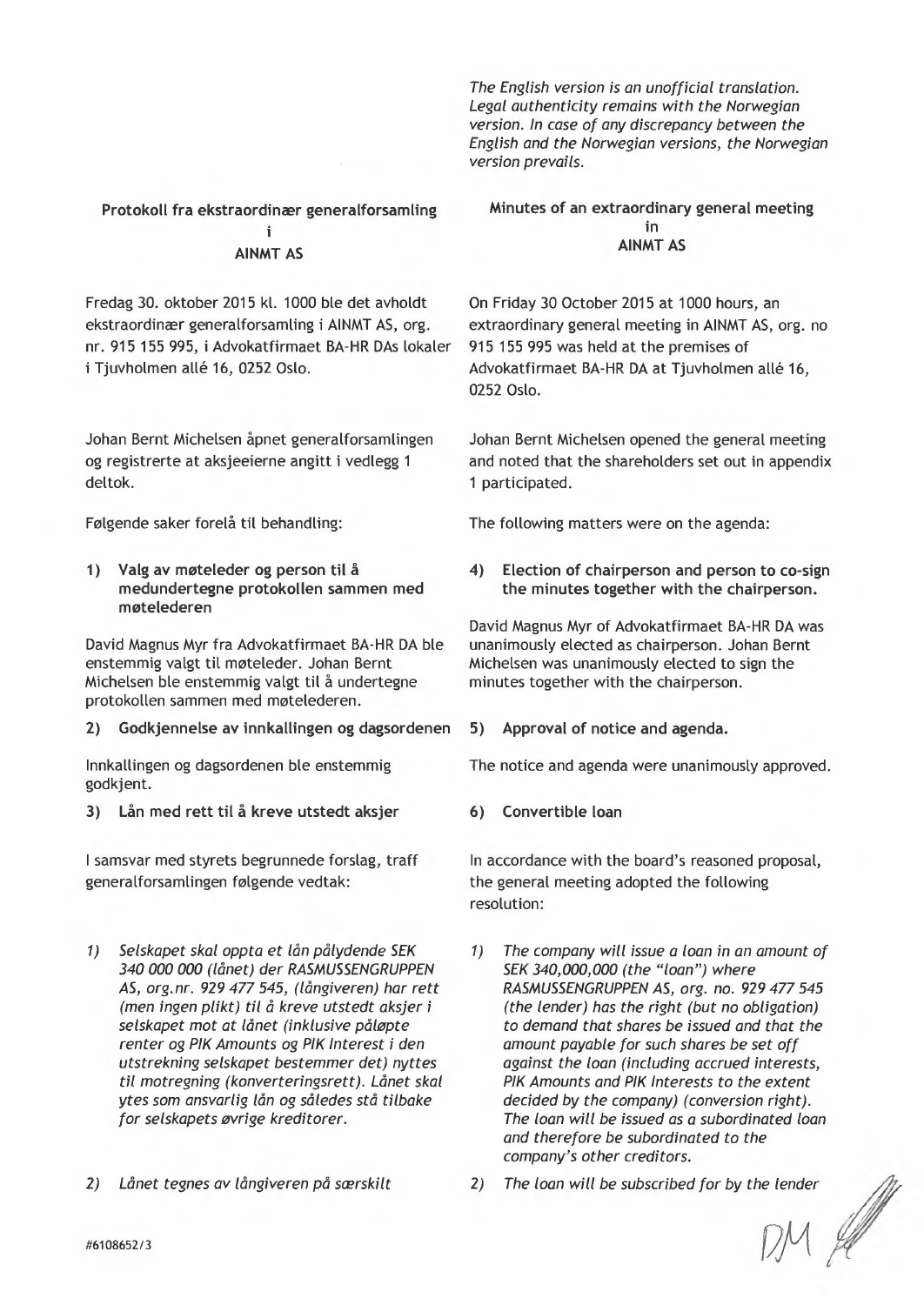*The English version* is an *unofficial translation. Legal authenticity remains with the Norwegian version. In case* of *any discrepancy between the English and the Norwegian versions, the Norwegian version prevails.* 

### Protokoll fra ekstraordinær generalforsamling

# AINMT AS

Fredag 30. oktober 2015 kl. 1000 ble det avholdt ekstraordinær generalforsamling i AINMT AS, arg. nr. 915 155 995, i Advokatfirmaet BA-HR DAs lokaler *i* Tjuvholmen allé 16, 0252 Oslo.

Johan Bernt Michelsen åpnet generalforsamlingen og registrerte at aksjeeierne angitt i vedlegg 1 deltok.

Følgende saker forelå til behandling:

1) Valg av møteleder og person til å medundertegne protokollen sammen med møtelederen

David Magnus Myr fra Advokatfirmaet BA-HR DA ble enstemmig valgt til møteleder. Johan Bernt Michelsen ble enstemmig valgt til å undertegne protokollen sammen med møtelederen.

2) Godkjennelse av innkallingen og dagsordenen 5) Approval of notice and agenda.

Innkallingen og dagsordenen ble enstemmig godkjent.

3) Lån med rett til å kreve utstedt aksjer

I samsvar med styrets begrunnede forslag, traff generalforsamlingen følgende vedtak:

- *1) Selskapet skaloppta et lån pålydende SEK 340000000 (lånet) der RASMUSSENGRUPPEN AS, org.nr.* 929477545, *(långiveren) har rett (men ingen plikt) til* å *kreve utstedt aksjer* i *selskapet mot* at *lånet (inklusive påløpte renter* og *PIK Amounts* og *PIK Interest* i *den utstrekning selskapet bestemmer det) nyttes til tnotregning (konverteringsrett). Lånet skal ytes som ansvarlig lån* og *således stå tilbake for selskapets øvrige kreditorer.*
- *2) Lånet tegnes av långiveren på særskilt*

#### Minutes of an extraordinary general meeting in AINMT AS

On Friday 30 October 2015 at 1000 hours, an extraordinary general meeting in AINMT AS, arg. no 915 155 995 was held at the premises of Advokatfirmaet BA-HR DA at Tjuvholmen allé 16, 0252 Oslo.

Johan Bernt Michelsen opened the general meeting and noted that the shareholders set out in appendix 1 participated.

The following matters were on the agenda:

4) Election of chairperson and person to co-sign the minutes together with the chairperson.

David Magnus Myr of Advokatfirmaet BA-HR DA was unanimously elected as chairperson. Johan Bernt Michelsen was unanimously elected to sign the minutes together with the chairperson.

The notice and agenda were unanimously approved.

6) Convertible loan

In accordance with the board's reasoned proposal, the general meeting adopted the following resolution:

- 1) *The company will issue* a *loan* in an *amount* of *SEK 340,000,000 (the "loan") where RASMUSSENGRUPPEN AS, arg. no.* 929477545 *(the lender) has the right (but* no *obligation)*  to *demand that shares be issued and that the amount payable for such shares be set off against the loan (including accrued interests, PIK Amounts and PIK Interests* to *the extent decided by the company) (conversion right). The loan will be issued* as a *subordinated loan and therefore be subordinated* to *the company's other creditors.*
- 2) The loan will be subscribed for by the lender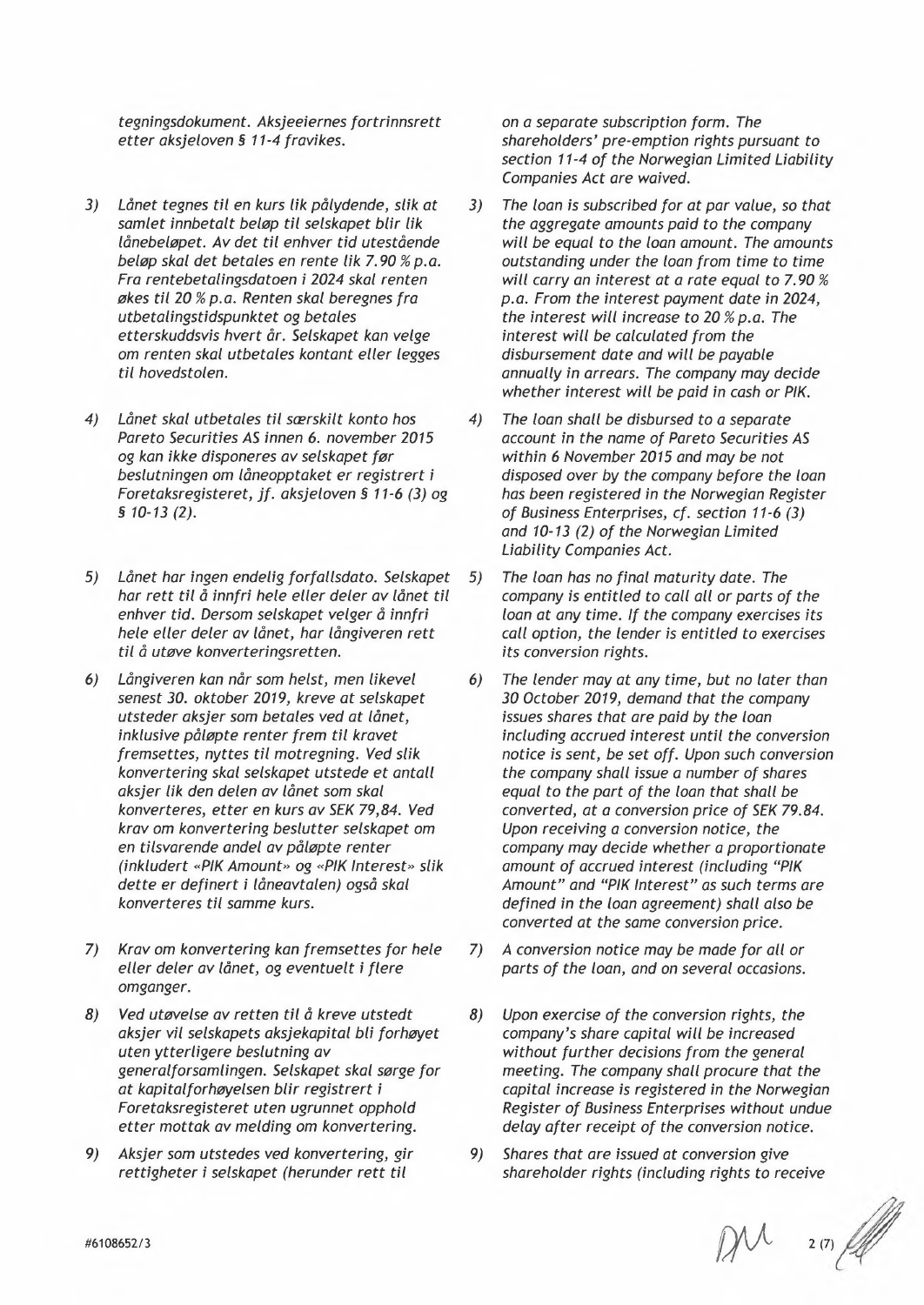*tegningsdokurnent, Aksjee;ernes [ortrinnsrett etter aksjeloven* § 11-4 *fravikes.* 

- 3) Lånet tegnes til en kurs lik pålydende, slik at *samlet innbetalt beløp til selskapet blir Uk lånebeløpet. Av det tit enhver tid utestående beløp skal det betales en rente Uk 7.90* % *p.a. Fra rentebetalingsdatoen ; 2024 skal renten økes tit* 20 % *p.a. Renten skal beregnes fra utbetalingstidspunktet: og betales etterskuaasvts hvert år. Selskapet kan velge*  om *renten skal utbetales kontant eller legges til hovedstolen.*
- 4) *Lånet skal utbetales ti! særskilt konto hos Pareto Securities AS ;nnen* 6. *november 2015 og kan ;kke disponeres av selskapet før besiutningen* om *låneopptaket er registrert ; Foretassregisteret,* jf. *aksjeloven* § 11-6 (3) *og*  § *10-13 (2).*
- 5) *Lånet har ;ngen endelig forfallsdato. Selskapet har rett til* å *inntr! hele eller deler av lånet tit enhver tid, Dersom selskapet velger* å *inniri hele eller deler av lånet, har långiveren rett til* å *utøve konverteringsretten.*
- *Långiveren kan når som helst, men likeve!*  6) *senest 30. oktober 2019, kreve* at *selskapet utsteder aksjer som betales ved* at *lånet, ;nklus;ve påløpte renter frem til kravet*  fremsettes, nyttes til motregning. Ved slik *konvertering skal selskapet utstede et antall aksjer lik: den delen av lånet som skal konverteres, etter en kurs av SEK* 79,84. *Ved kravom konvertering beslutter selskapet* om *en titsvarende andel av påløpte renter (inkludert «PIK Amount» og «PIK Interest» slik dette er def;nert ; låneavtalen) også skal konverteres til samme kurs.*
- 7) *Kravom konverter;ng kan fremsettes for hele eller deler av lånet, og eventuelt; flere omganger.*
- *Ved utøvelse av retten til å kreve utstedt aksjer v;{ selskapets aksjekap;tal bU forhøyet uten ytterUgere beslutn;ng av generalforsamUngen. Selskapet skal sørge for*  at *kap;talforhøyelsen bUr reg;strert ; Foretaksreg;steret uten ugrunnet opphold etter mottak av melding om konvertering.* 8)
- 9) Aksjer som utstedes ved konvertering, gir  $r$ ettigheter i selskapet (herunder rett til

*on* a *separate subscription form. The shareholders' pre-emption rights pursuant* to section 11-4 of the Norwegian Limited Liability *Companies Act are waived.* 

- 3) The loan is subscribed for at par value, so that *the aggregate amounts paid* to *the company wil! be equal* to *the loan amount. The amounts outstanding under the loan from time* to *time wil! carry an interest* at a *rate equal* to *7.90 % p.o. From the interest payment date ;n 2024, the interest wHl increase* to 20 % *p.o. The interest: wil! be calculated from the disoursetnent date and wit! be payable annually in arrears. The company may decide whether interest will be paid in cash* or *PIK.*
- *4) The loan shall be disbursed* to a *separate account ;n the name of Pareto Securities AS within* 6 *November 2015 and may be not disposed over by the company before the loan has been registered in the Norweg;an Register of Business Enterprises, cf. section* 11-6 (3) *and 10-13* (2) *of the Norwegion Limited*  **Liability Companies Act.**
- *5) The loan has no [ina! maturity date. The company* ;s *entitlea* to *call all* or *parts of the loan* at *any time. If the company exercises its call option, the lender* ;s *entitled* to *exercises its conversion rignts.*
- *6) The lender may* at *any time, but no later than 30 October 2019, demand that the company issues shares that are paid by the loan including accrued interest until the conversion notice* ;s *sent, be set off. Upon such conversion the company shall issue* a *number of shares equal* to *the part of the loan that shall be converted,* at a conversion *price of SEK 79.84. Upon receiving* a *conversion notice, the company may decide whether* a *proportionate*  amount of accrued interest (including "PIK *Amount" and "PIK Interest"* as *such terms are def;ned ;n the loan agreement) shall also be converted at the same conversion price.*
- *7)* A conversion notice may be made for all or *parts of the loan, and on several occas;ons.*
- 8) Upon exercise of the conversion rights, the company's share capital will be increased *w;thout further deds;ons from the general meeting. The company shall procure that the capital ;ncrease* ;s *reg;stered ;n the Norweg;an*  **Register of Business Enterprises without undue** *delay after receipt of the conversion notice.*
- *9) Shares that are ;ssued* at *convers;on g;ve*  shareholder rights (including rights to receive

 $2(7)$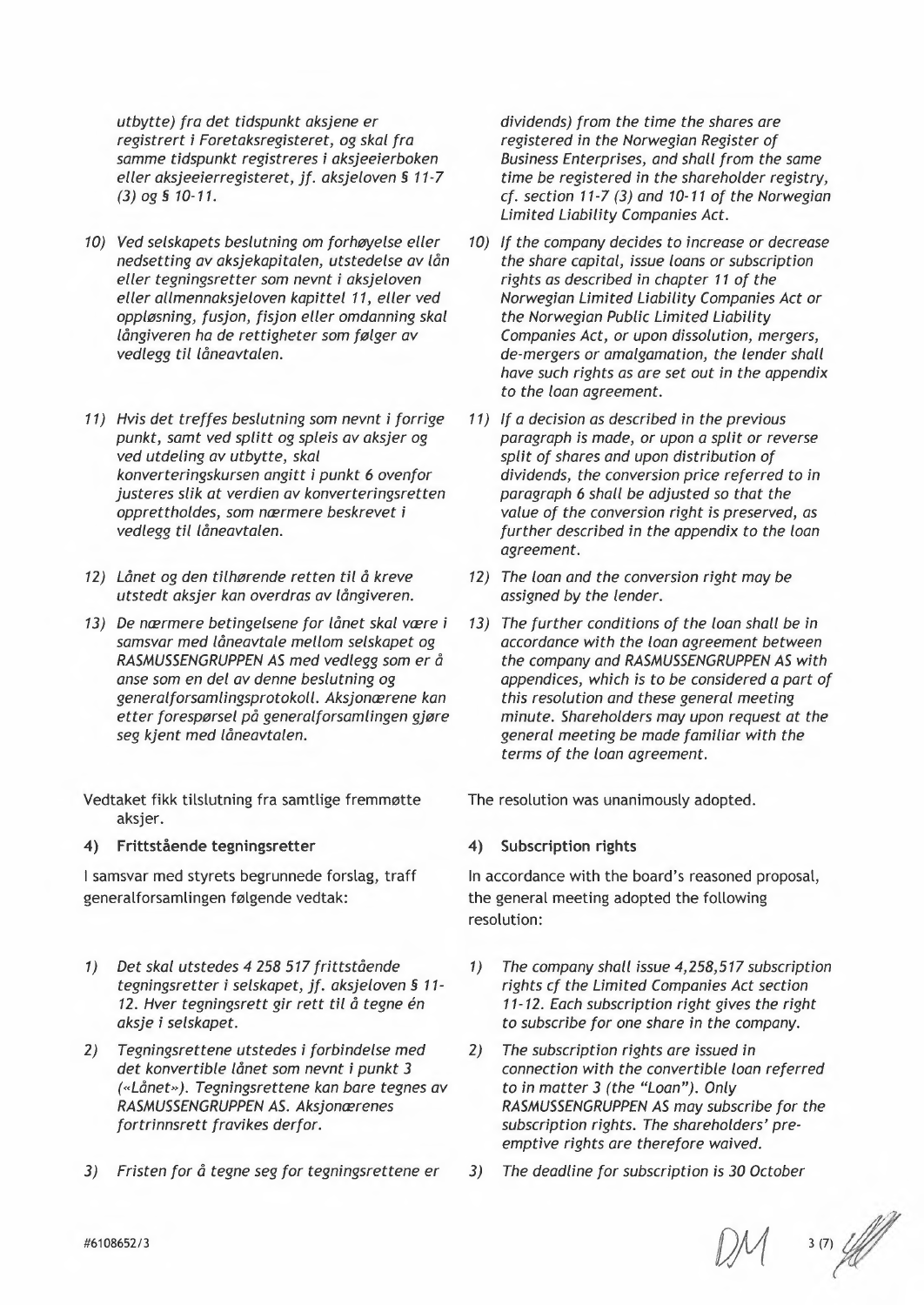*utbytte) fra det tidspunkt aksjene er registrert* i *Foretaksregisteret, og skal fra samme tidspunkt registreres* i *aksjeeierboken eller aksjeeierregisteret, jf. aksjeloven* § 11-7 *(3)og§10-11.* 

- *10) Ved selskapets beslutning* om *forhøyelse eller nedsetting av aksjekapitalen, utstedelse av lån eller tegningsretter som nevnt* i *aksjeloven eller allmennaksjeloven kapittel* 11, *eller ved oppløsning, fusjon, fisjon eller omdanning skal långiveren ha de rettigheter som følger av vedlegg til låneavtalen.*
- *11) Hvis det treffes beslutning som nevnt* i *forrige punkt, samt ved splitt og spleis av aksjer og ved utdeling av utbytte, skal konverteringskursen angitt* i *punkt* 6 *ovenfor justeres slik at verdien av konverteringsretten opprettholdes, som nærmere beskrevet* i *vedlegg til låneavtalen.*
- *12) Lånet og den tilhørende retten til* å *kreve utstedt aksjer kan overdras av långiveren.*
- *13) De nærmere betingelsene for lånet skal være* i *samsvar med låneavtale mellom selskapet og RASMUSSENGRUPPEN AS med vedlegg som er* å *anse som en del av denne beslutning og generalforsamlingsprotokoll. Aksjonærene kan etter forespørsel på generalforsamlingen gjøre seg kjent med låneavtalen.*

Vedtaket fikk tilslutning fra samtlige fremmøtte aksjer.

## 4) Frittstående tegningsretter

I samsvar med styrets begrunnede forslag, traff generalforsamlingen følgende vedtak:

- *1) Det skal utstedes* 4 258 517 *frittstående tegningsretter* i *selskapet, jf. aksjeloven* § 11- *12. Hver tegningsrett gir rett til* å *tegne en aksje* i *selskapet.*
- *2) Tegningsrettene utstedes* i *forbindelse med det konvertible lånet som nevnt* i *punkt 3 (<<Lånet»). Tegningsrettene kan bare tegnes av RASMUSSENGRUPPEN AS. Aksjonærenes fortrinnsrett fravikes derfor.*
- *3) Fristen for* å *tegne seg for tegningsrettene er*

*dividends) from the time the shares are registered in the Norwegian Register of Business Enterprises, and shall from the same time be registered in the shareholder registry, cf. section* 11-7 (3) *and 10-11 of the Norwegian Limited Liability Companies Act.* 

- *10) If the company decides to increase* or *decrease the share capital, issue loans* or *subscription rights as described in chapter* 11 *of the Norwegian Limited Liability Companies Act* or *the Norwegian Public Limited Liability Companies Act,* or *upon dissolution, mergers, de-mergers* or *amalgamation, the lender shall have such rights as are set out in the appendix to the loan agreement.*
- *11) If a decision* as *described in the previous paragraph* is *made,* or *upon a split* or *reverse split of shares and upon distribution of dividends, the conversion price referred to in paragraph* 6 *shall be adjusted* so *that the value of the conversion right* is *preserved, as further described in the appendix to the loan agreement.*
- *12) The loan and the conversion right may be assigned by the lender.*
- *13) The further conditions of the loan shall be in accordance with the loan agreement between the company and RASMUSSENGRUPPEN AS with appendices, which* is *to be considered a part* of *this resolution and these general meeting minute. Shareholders may upon request at the general meeting be made familiar with the terms of the loan agreement.*

The resolution was unanimously adopted.

## 4) Subscription rights

In accordance with the board's reasoned proposal, the general meeting adopted the following resolution:

- *1) The company shall issue* 4,258,517 *subscription rights cf the Limited Companies Act section 11-12. Each subscription right gives the right to subscribe for one share in the company.*
- *2) The subscription rights are issued in connection with the convertible loan referred to in matter* 3 *(the "Loan"). Only RASMUSSENGRUPPEN AS may subscribe for the subscription rights. The shareholders' preemptive rights are therefore waived.*
- *3) The deadline for subscription* is *30 October*

*Df1 '(7(Jf'*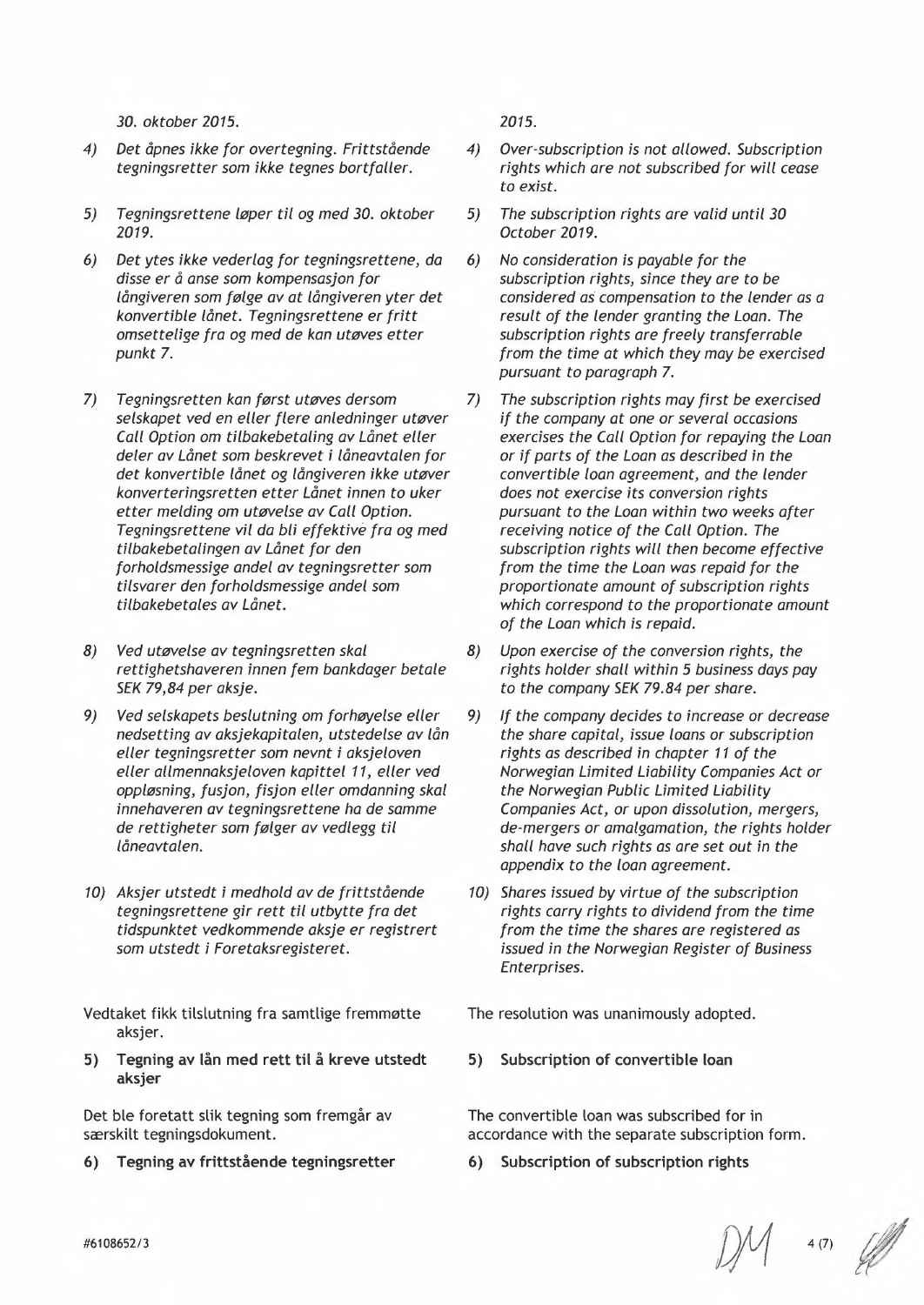*30. oktober 2015.* 

- *4) Det åpnes ikke for overtegning. Frittstående tegningsretter som ikke tegnes bortfaller.*
- *5) Tegningsrettene løper til* og *med 30. oktober 2019.*
- *6) Det ytes ikke vederlag for tegningsrettene, da disse er* å *anse som kompensasjon for långiveren som følge av at långiveren yter det konvertible lånet. Tegningsrettene er fritt omsettelige fra* og *med de kan utøves etter punkt 7.*
- *7) Tegningsretten kan først utøves dersom selskapet ved en eller flere anledninger utøver Call Option* om *tilbakebetaling av Lånet eller deler av Lånet som beskrevet* i *låneavtalen for det konvertible lånet* og *långiveren ikke utøver konverteringsretten etter Lånet innen to uker etter melding* om *utøvelse av Call Option. Tegningsrettene vil da bli effektive fra* og *med tilbakebetalingen av Lånet for den forholdsmessige andel av tegningsretter som tilsvarer den forholdsmessige andel som tilbakebetales av Lånet.*
- *8) Ved utøvelse av tegningsretten skal rettighetshaveren innen fem bankdager betale SEK* 79,84 *per aksje.*
- *9) Ved selskapets beslutning* om *forhøyelse eller nedsetting av aksjekapitalen, utstedelse av lån eller tegningsretter som nevnt* i *aksjeloven eller allmennaksjeloven kapittel* 11, *eller ved oppløsning, fusjon, fisjon eller omdanning skal innehaveren av tegningsrettene ha de samme de rettigheter som følger av vedlegg til låneavtalen.*
- *10) Aksjer utstedt* i *medhold av de frittstående tegningsrettene gir rett til utbytte fra det tidspunktet vedkommende aksje er registrert som utstedt* i *Foretaksregisteret.*

Vedtaket fikk tilslutning fra samtlige fremmøtte aksier.

**S) Tegning av lån med rett til å kreve utstedt aksjer** 

Det ble foretatt slik tegning som fremgår av særskilt tegningsdokument.

**6) Tegning av frittstående tegningsretter** 

*2015.* 

- *4) Over-subscription* is *not allowed. Subscription rights which are not subscribed for will cease to exist.*
- *5) The subscription rights are valid until 30 October 2019.*
- *6) No consideration* is *payable for the subscription rights, since they are to be considered* as *compensation to the lender* as a *result of the lender granting the Loan. The subscription rights are freely transferrable from the time at which they may be exercised pursuant to paragraph 7.*
- *7) The subscription rights may first be exercised if the company at one* or *several occasions exercises the Call Option for repaying the Loan*  or *if parts of the Loan* as *described* in *the convertible loan agreement, and the lender does not exercise its conversion rights pursuant to the Loan within two weeks after receiving notice of the Call Option. The subscription rights will then become effective from the time the Loan was repaid for the proportionate amount of subscription rights which correspond to the proportionate amount of the Loan which* is *repaid.*
- *8) Upon exercise of the conversion rights, the rights holder shall within* 5 *business days pay to the company SEK* 79.84 *per share.*
- *9) If the company decides to increase* or *decrease the share capital, issue loans* or *subscription rights as described* in *chapter* 11 *of the Norwegian Limited Liability Companies Act* or *the Norwegian Public Limited Liability Companies Act,* or *upon dissolution, mergers, de-mergers* or *amalgamation, the rights holder shall have such rights as are set out* in *the appendix to the loan agreement.*
- *10) Shares issued by virtue of the subscription rights carry rights to dividend from the time from the time the shares are registered as issued* in *the Norwegian Register of Business Enterprises.*

The resolution was unanimously adopted.

**S) Subscription of convertible loan** 

The convertible loan was subscribed for in accordance with the separate subscription form.

**6) Subscription of subscription rights** 

/))1 *4(7) fl*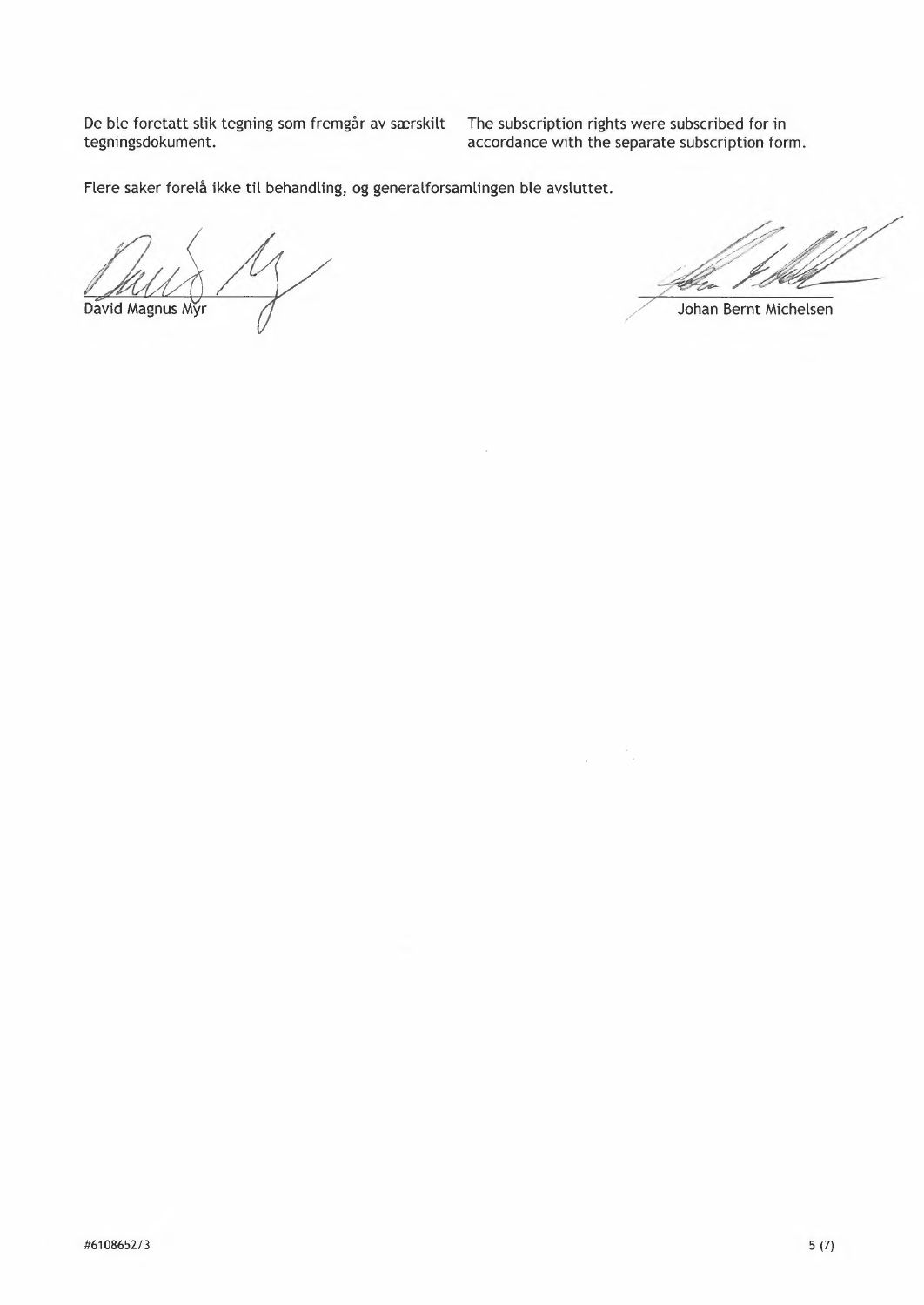De ble foretatt slik tegning som fremgår av særskilt tegningsdokument.

The subscription rights were subscribed for in accordance with the separate subscription form.

Flere saker forelå ikke til behandling, og generalforsamlingen ble avsluttet.

David Magnus Myr

/ Johan Bernt Michelsen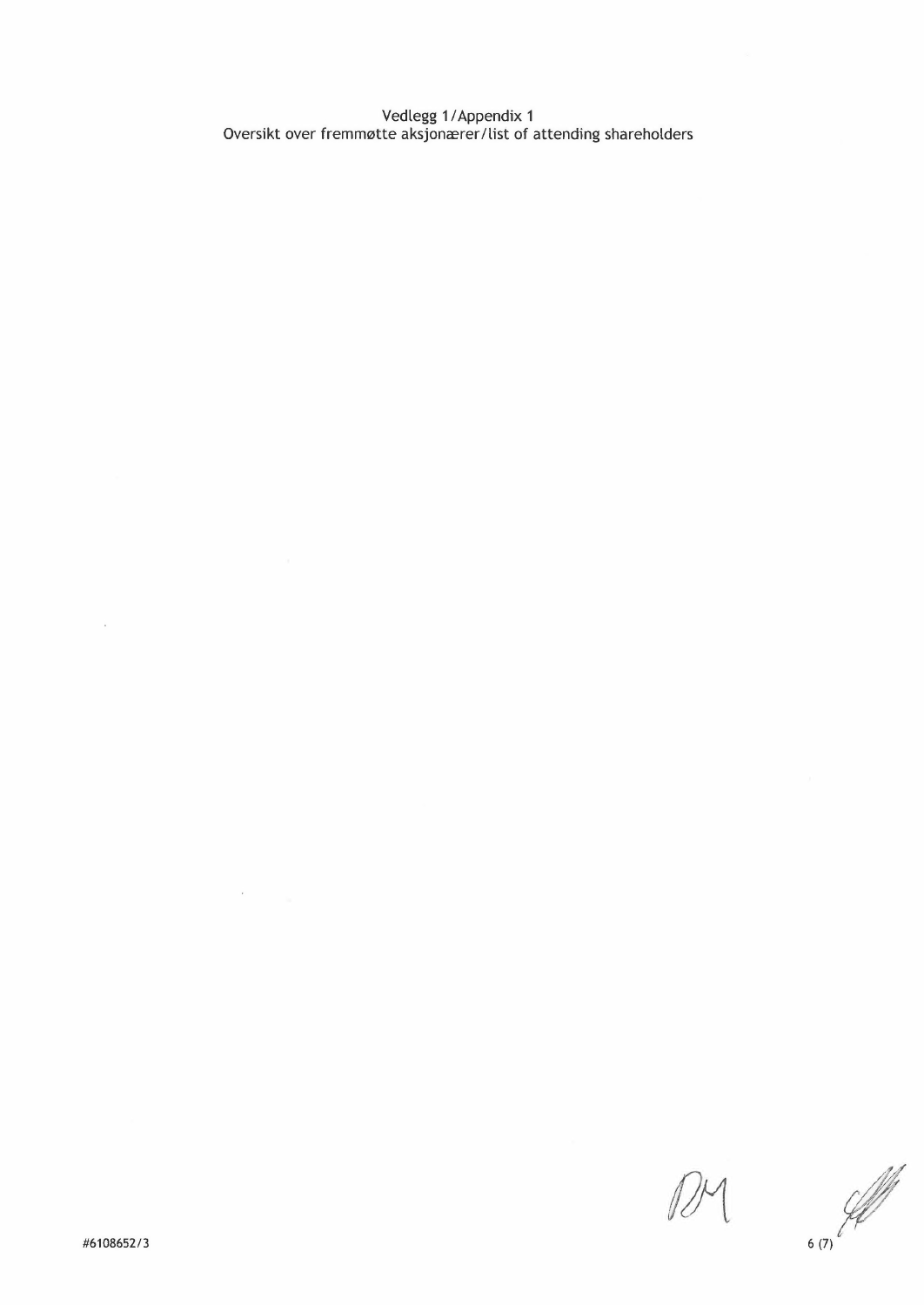Vedlegg 1 *f* Appendix 1 Oversikt over fremmøtte aksjonærer/list of attending shareholders

 $\bar{\nu}$ 

 $\sim$   $\sim$